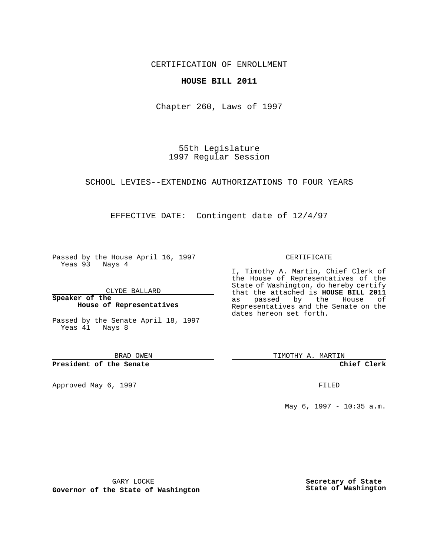CERTIFICATION OF ENROLLMENT

## **HOUSE BILL 2011**

Chapter 260, Laws of 1997

55th Legislature 1997 Regular Session

SCHOOL LEVIES--EXTENDING AUTHORIZATIONS TO FOUR YEARS

EFFECTIVE DATE: Contingent date of 12/4/97

Passed by the House April 16, 1997 Yeas 93 Nays 4

CLYDE BALLARD

**Speaker of the House of Representatives**

Passed by the Senate April 18, 1997 Yeas 41 Nays 8

BRAD OWEN

**President of the Senate**

Approved May 6, 1997 **FILED** 

CERTIFICATE

I, Timothy A. Martin, Chief Clerk of the House of Representatives of the State of Washington, do hereby certify that the attached is **HOUSE BILL 2011** as passed by the House of Representatives and the Senate on the dates hereon set forth.

TIMOTHY A. MARTIN

**Chief Clerk**

May 6, 1997 - 10:35 a.m.

GARY LOCKE

**Governor of the State of Washington**

**Secretary of State State of Washington**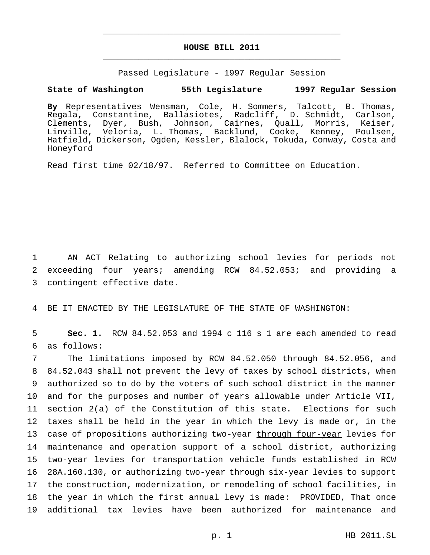## **HOUSE BILL 2011** \_\_\_\_\_\_\_\_\_\_\_\_\_\_\_\_\_\_\_\_\_\_\_\_\_\_\_\_\_\_\_\_\_\_\_\_\_\_\_\_\_\_\_\_\_\_\_

\_\_\_\_\_\_\_\_\_\_\_\_\_\_\_\_\_\_\_\_\_\_\_\_\_\_\_\_\_\_\_\_\_\_\_\_\_\_\_\_\_\_\_\_\_\_\_

Passed Legislature - 1997 Regular Session

## **State of Washington 55th Legislature 1997 Regular Session**

**By** Representatives Wensman, Cole, H. Sommers, Talcott, B. Thomas, Regala, Constantine, Ballasiotes, Radcliff, D. Schmidt, Carlson, Clements, Dyer, Bush, Johnson, Cairnes, Quall, Morris, Keiser, Linville, Veloria, L. Thomas, Backlund, Cooke, Kenney, Poulsen, Hatfield, Dickerson, Ogden, Kessler, Blalock, Tokuda, Conway, Costa and Honeyford

Read first time 02/18/97. Referred to Committee on Education.

1 AN ACT Relating to authorizing school levies for periods not 2 exceeding four years; amending RCW 84.52.053; and providing a 3 contingent effective date.

4 BE IT ENACTED BY THE LEGISLATURE OF THE STATE OF WASHINGTON:

5 **Sec. 1.** RCW 84.52.053 and 1994 c 116 s 1 are each amended to read 6 as follows:

 The limitations imposed by RCW 84.52.050 through 84.52.056, and 84.52.043 shall not prevent the levy of taxes by school districts, when authorized so to do by the voters of such school district in the manner and for the purposes and number of years allowable under Article VII, section 2(a) of the Constitution of this state. Elections for such taxes shall be held in the year in which the levy is made or, in the 13 case of propositions authorizing two-year through four-year levies for maintenance and operation support of a school district, authorizing two-year levies for transportation vehicle funds established in RCW 28A.160.130, or authorizing two-year through six-year levies to support the construction, modernization, or remodeling of school facilities, in the year in which the first annual levy is made: PROVIDED, That once additional tax levies have been authorized for maintenance and